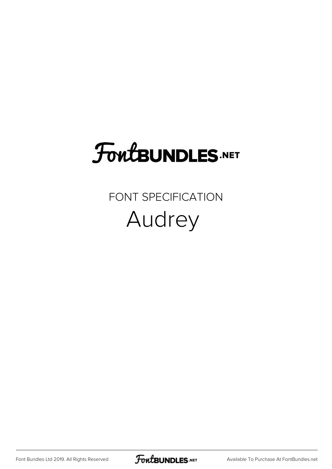## FoutBUNDLES.NET

## FONT SPECIFICATION Audrey

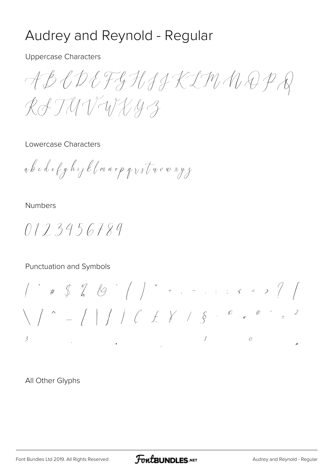## Audrey and Reynold - Regular

**Uppercase Characters** 

ABCDEFGHJJKIMNOPR RATUVWX43

Lowercase Characters

ab c d e f g h i j k l m n o p q  $v$  s l u v w x y z

**Numbers** 

0123456789

Punctuation and Symbols

All Other Glyphs

**FoutBUNDLES.NET**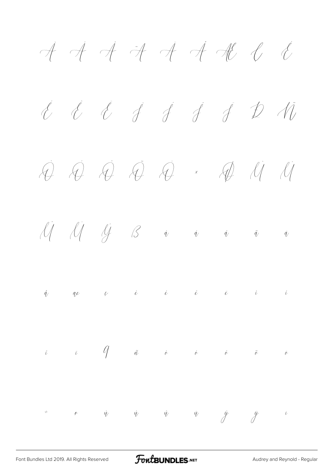$\dot{\mathcal{A}}$   $\dot{\mathcal{A}}$   $\dot{\mathcal{A}}$   $\dot{\mathcal{A}}$   $\dot{\mathcal{A}}$   $\dot{\mathcal{A}}$   $\dot{\mathcal{C}}$ É É É À Í Í Í D M Ò Ó Ô Õ Ö × Ø Ù Ú  $\bigcup_{i=1}^n \bigcup_{j=1}^n \bigcup_{j=1}^n \bigcup_{j=1}^n \bigcup_{j=1}^n \bigcup_{j=1}^n \bigcup_{j=1}^n \bigcup_{j=1}^n \bigcup_{j=1}^n \bigcup_{j=1}^n \bigcup_{j=1}^n \bigcup_{j=1}^n \bigcup_{j=1}^n \bigcup_{j=1}^n \bigcup_{j=1}^n \bigcup_{j=1}^n \bigcup_{j=1}^n \bigcup_{j=1}^n \bigcup_{j=1}^n \bigcup_{j=1}^n \bigcup_{j=1}^n \bigcup_{j=1}^n$  $\mathring{q}$  are  $\mathring{\nu}$  i i i i i  $\tilde{\iota}$   $\tilde{\iota}$   $\tilde{\iota}$   $\tilde{\iota}$   $\tilde{\iota}$   $\tilde{\iota}$   $\tilde{\iota}$   $\tilde{\iota}$   $\tilde{\iota}$   $\tilde{\iota}$   $\tilde{\iota}$  $\dot{\phi}$   $\dot{\phi}$   $\dot{\phi}$   $\dot{\phi}$   $\ddot{\phi}$   $\ddot{\phi}$   $\ddot{\phi}$   $\ddot{\phi}$   $\ddot{\phi}$   $\ddot{\phi}$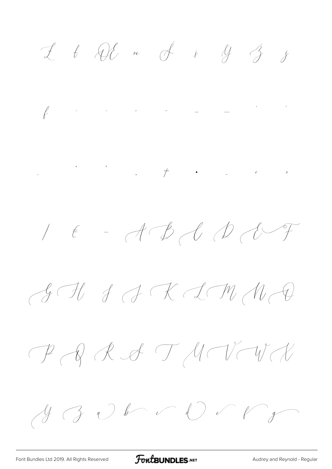$I$   $t$   $Qt$  or  $\overrightarrow{f}$   $\overrightarrow{i}$   $\overrightarrow{g}$   $\overrightarrow{j}$ 

 $\int\limits_{0}^{1}e^{-\frac{2\pi i}{\hbar}}\left( \frac{1}{\hbar}\right) ^{2}e^{-\frac{2\pi i}{\hbar}}\left( \frac{e^{-\frac{2\pi i}{\hbar}}}{\hbar}\right) \frac{e^{-\frac{2\pi i}{\hbar}}}{\hbar}=-\frac{e^{-\frac{2\pi i}{\hbar}}}{\hbar}=\frac{e^{-\frac{2\pi i}{\hbar}}}{\hbar}$ 

 $1 \quad \epsilon \quad - \mathcal{A} \quad \mathcal{B} \quad \mathcal{U} \quad \mathcal{D} \quad \mathcal{C} \quad \mathcal{F}$ 

 $\mathcal{A}\rightarrow\mathcal{A}\rightarrow\mathcal{A}\rightarrow\mathcal{A}\rightarrow\mathcal{A}$ 

 $P$   $Q$   $R$   $G$   $T$   $M$   $V$   $W$ 

 $y \rightarrow 0$  b d d f  $y$ 

FontBUNDLES.NET